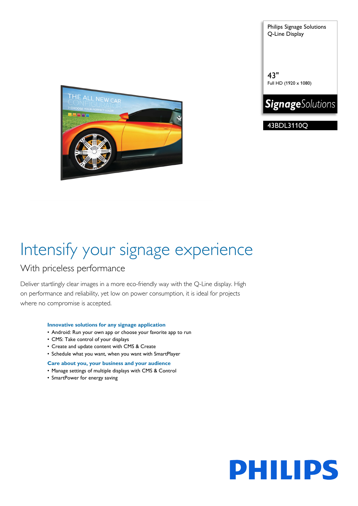Philips Signage Solutions Q-Line Display

43" Full HD (1920 x 1080)



43BDL3110Q



# Intensify your signage experience

### With priceless performance

Deliver startlingly clear images in a more eco-friendly way with the Q-Line display. High on performance and reliability, yet low on power consumption, it is ideal for projects where no compromise is accepted.

#### **Innovative solutions for any signage application**

- Android: Run your own app or choose your favorite app to run
- CMS: Take control of your displays
- Create and update content with CMS & Create
- Schedule what you want, when you want with SmartPlayer

#### **Care about you, your business and your audience**

- Manage settings of multiple displays with CMS & Control
- SmartPower for energy saving